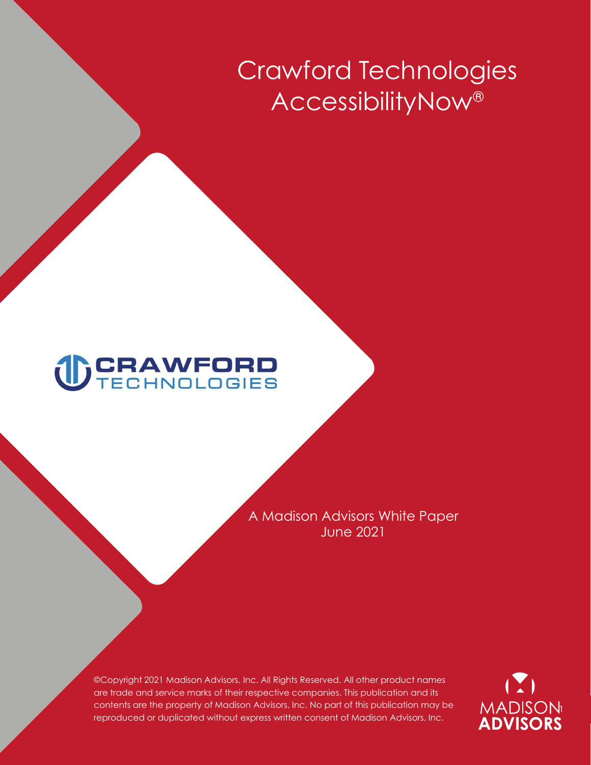# **Crawford Technologies AccessibilityNow®**

# **TECHNOLOGIES**

**A Madison Advisors White Paper June 2021** 

**©Copyright 2021 Madison Advisors, Inc. All Rights Reserved. All other product names are trade and service marks of their respective companies. This publication and its contents are the property of Madison Advisors, Inc. No part of this publication may be reproduced or duplicated without express written consent of Madison Advisors, Inc.**

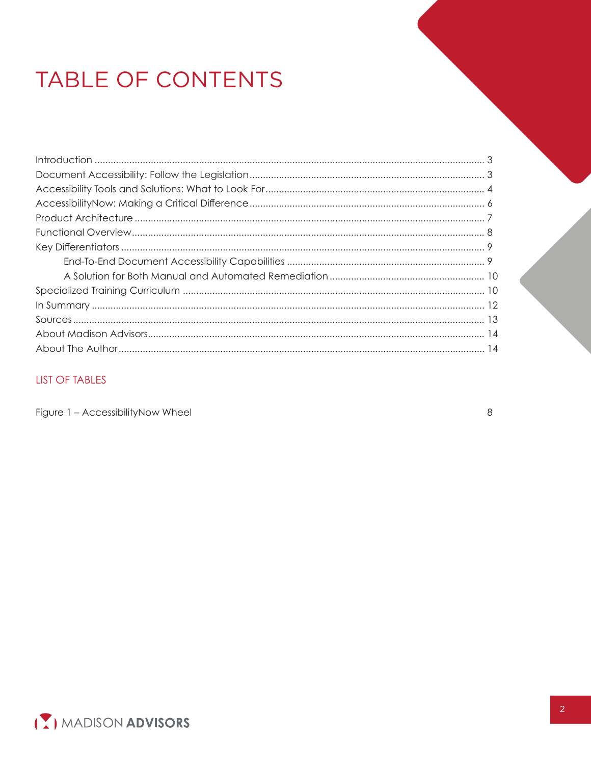# TABLE OF CONTENTS

# **LIST OF TABLES**

Figure 1 - AccessibilityNow Wheel

 $\,8\,$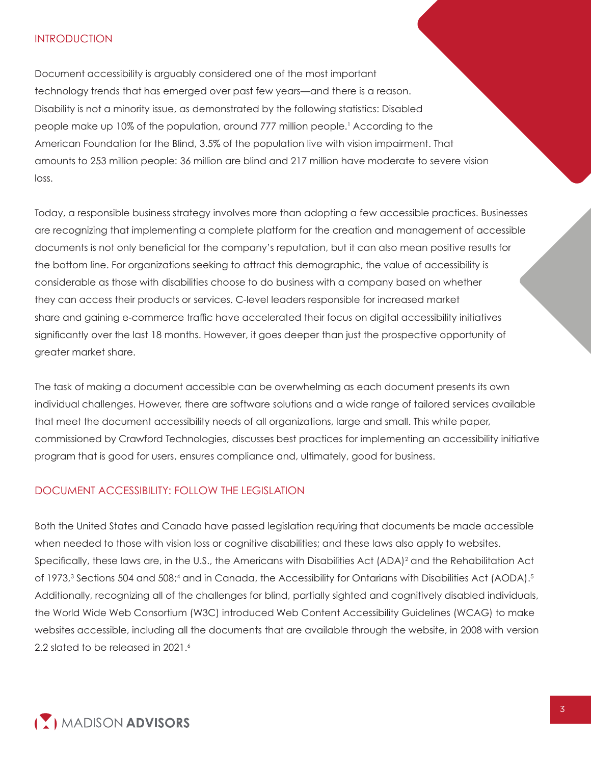#### **INTRODUCTION**

**Document accessibility is arguably considered one of the most important technology trends that has emerged over past few years—and there is a reason. Disability is not a minority issue, as demonstrated by the following statistics: Disabled people make up** 10**% of the population, around** 777 **million people. <sup>1</sup> According to the American Foundation for the Blind,** 3.5**% of the population live with vision impairment. That amounts to** 253 **million people:** 36 **million are blind and** 217 **million have moderate to severe vision loss.**

**Today, a responsible business strategy involves more than adopting a few accessible practices. Businesses are recognizing that implementing a complete platform for the creation and management of accessible documents is not only beneficial for the company's reputation, but it can also mean positive results for the bottom line. For organizations seeking to attract this demographic, the value of accessibility is considerable as those with disabilities choose to do business with a company based on whether they can access their products or services. C-level leaders responsible for increased market share and gaining e-commerce trafic have accelerated their focus on digital accessibility initiatives significantly over the last 18 months. However, it goes deeper than just the prospective opportunity of greater market share.** 

**The task of making a document accessible can be overwhelming as each document presents its own individual challenges. However, there are software solutions and a wide range of tailored services available that meet the document accessibility needs of all organizations, large and small. This white paper, commissioned by Crawford Technologies, discusses best practices for implementing an accessibility initiative program that is good for users, ensures compliance and, ultimately, good for business.**

## **DOCUMENT ACCESSIBILITY: FOLLOW THE LEGISLATION**

**Both the United States and Canada have passed legislation requiring that documents be made accessible**  when needed to those with vision loss or cognitive disabilities; and these laws also apply to websites. **Specifically, these laws are, in the U.S., the Americans with Disabilities Act (ADA) <sup>2</sup> and the Rehabilitation Act of 1973,<sup>3</sup> Sections 504 and 508; <sup>4</sup> and in Canada, the Accessibility for Ontarians with Disabilities Act (AODA). 5 Additionally, recognizing all of the challenges for** blind, partially sighted and cognitively disabled individuals, t**he World Wide Web Consortium (W3C) introduced Web Content Accessibility Guidelines (WCAG) to make websites accessible, including all the documents that are available through the website, in 2008 with version 2.2 slated to be released in 2021.<sup>6</sup>**

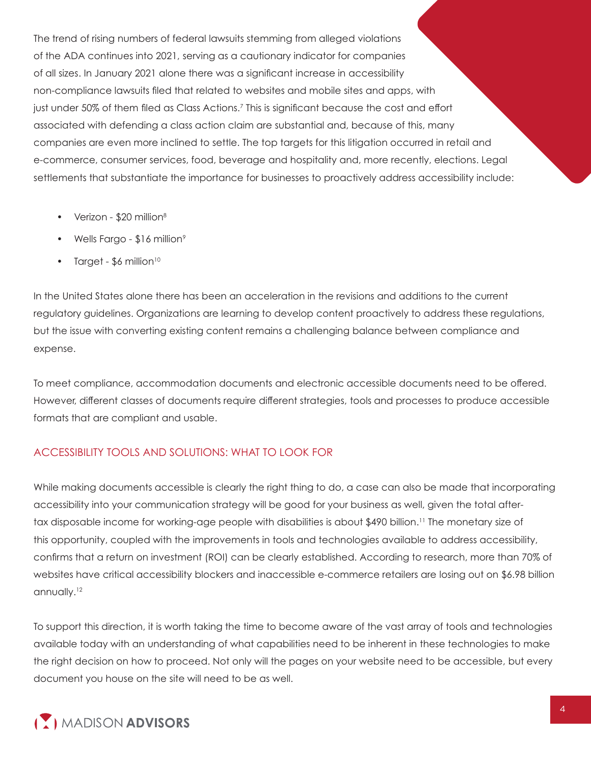**The trend of rising numbers of federal lawsuits stemming from alleged violations of the ADA continues into 2021, serving as a cautionary indicator for companies of all sizes. In January 2021 alone there was a significant increase in accessibility non-compliance lawsuits filed that related to websites and mobile sites and apps, with just under 50% of them filed as Class Actions. 7 This is significant because the cost and effort associated with defending a class action claim are substantial and, because of this, many companies are even more inclined to settle. The top targets for this litigation occurred in retail and e-commerce, consumer services, food, beverage and hospitality and, more recently, elections. Legal settlements that substantiate the importance for businesses to proactively address accessibility include:**

- **• Verizon \$20 million<sup>8</sup>**
- **• Wells Fargo \$16 million<sup>9</sup>**
- **• Target \$6 million<sup>10</sup>**

**In the United States alone there has been an acceleration in the revisions and additions to the current regulatory guidelines. Organizations are learning to develop content proactively to address these regulations, but the issue with converting existing content remains a challenging balance between compliance and expense.** 

**To meet compliance, accommodation documents and electronic accessible documents need to be offered. However, different classes of documents require different strategies, tools and processes to produce accessible formats that are compliant and usable.**

# **ACCESSIBILITY TOOLS AND SOLUTIONS: WHAT TO LOOK FOR**

**While making documents accessible is clearly the right thing to do, a case can also be made that incorporating accessibility into your communication strategy will be good for your business as well, given the total aftertax disposable income for working-age people with disabilities is about \$490 billion. <sup>11</sup> The monetary size of this opportunity, coupled with the improvements in tools and technologies available to address accessibility, confirms that a return on investment (ROI) can be clearly established. According to research, more than 70% of websites have critical accessibility blockers and inaccessible e-commerce retailers are losing out on \$6.98 billion annually. 12**

**To support this direction, it is worth taking the time to become aware of the vast array of tools and technologies available today with an understanding of what capabilities need to be inherent in these technologies to make the right decision on how to proceed. Not only will the pages on your website need to be accessible, but every document you house on the site will need to be as well.**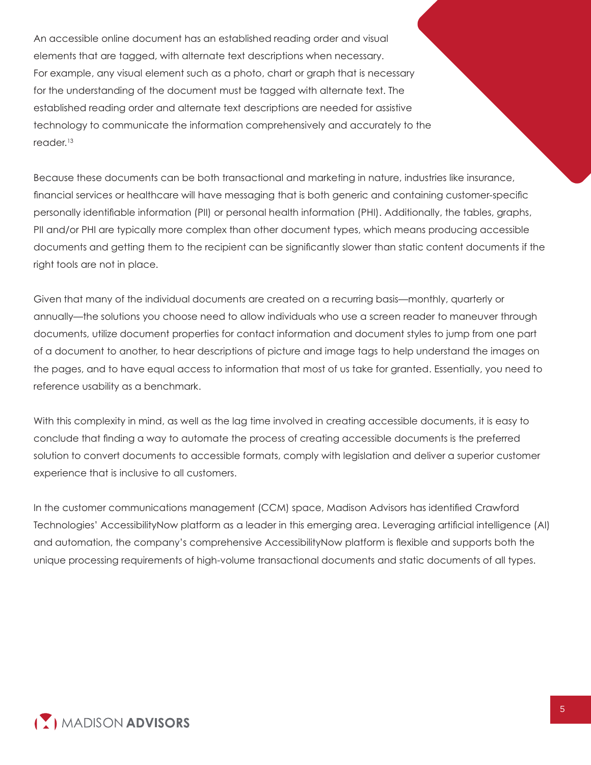**An accessible online document has an established reading order and visual elements that are tagged, with alternate text descriptions when necessary. For example, any visual element such as a photo, chart or graph that is necessary for the understanding of the document must be tagged with alternate text. The established reading order and alternate text descriptions are needed for assistive technology to communicate the information comprehensively and accurately to the reader. 13**

**Because these documents can be both transactional and marketing in nature, industries like insurance, financial services or healthcare will have messaging that is both generic and containing customer-specific personally identifiable information (PII) or personal health information (PHI). Additionally, the tables, graphs, PII and/or PHI are typically more complex than other document types, which means producing accessible documents and getting them to the recipient can be significantly slower than static content documents if the right tools are not in place.** 

**Given that many of the individual documents are created on a recurring basis—monthly, quarterly or annually—the solutions you choose need to allow individuals who use a screen reader to maneuver through documents, utilize document properties for contact information and document styles to jump from one part of a document to another, to hear descriptions of picture and image tags to help understand the images on the pages, and to have equal access to information that most of us take for granted. Essentially, you need to reference usability as a benchmark.**

**With this complexity in mind, as well as the lag time involved in creating accessible documents, it is easy to conclude that finding a way to automate the process of creating accessible documents is the preferred solution to convert documents to accessible formats, comply with legislation and deliver a superior customer experience that is inclusive to all customers.** 

**In the customer communications management (CCM) space, Madison Advisors has identified Crawford Technologies' AccessibilityNow platform as a leader in this emerging area. Leveraging artificial intelligence (AI) and automation, the company's comprehensive AccessibilityNow platform is flexible and supports both the unique processing requirements of high-volume transactional documents and static documents of all types.**

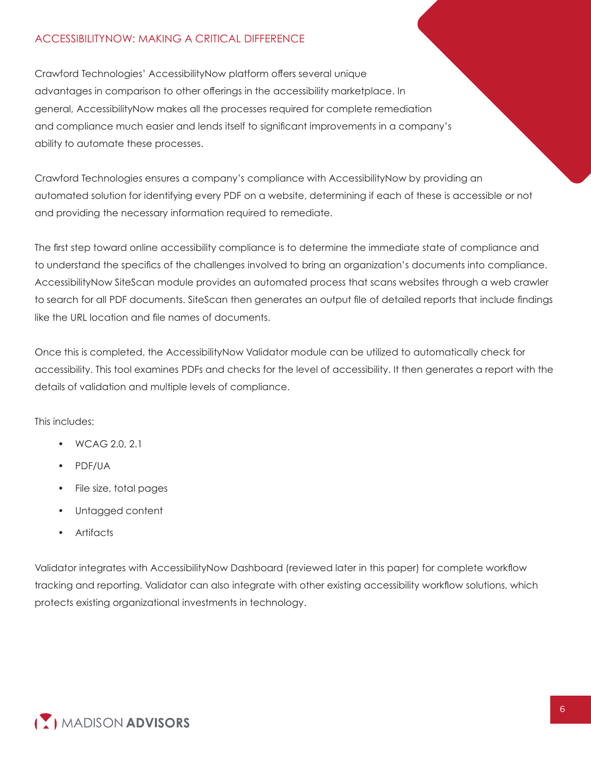# **ACCESSIBILITYNOW: MAKING A CRITICAL DIFFERENCE**

**Crawford Technologies' AccessibilityNow platform offers several unique advantages in comparison to other offerings in the accessibility marketplace. In general, AccessibilityNow makes all the processes required for complete remediation and compliance much easier and lends itself to significant improvements in a company's ability to automate these processes.**

**Crawford Technologies ensures a company's compliance with AccessibilityNow by providing an automated solution for identifying every PDF on a website, determining if each of these is accessible or not and providing the necessary information required to remediate.**

**The first step toward online accessibility compliance is to determine the immediate state of compliance and to understand the specifics of the challenges involved to bring an organization's documents into compliance. AccessibilityNow SiteScan module provides an automated process that scans websites through a web crawler to search for all PDF documents. SiteScan then generates an output file of detailed reports that include findings like the URL location and file names of documents.**

**Once this is completed, the AccessibilityNow Validator module can be utilized to automatically check for accessibility. This tool examines PDFs and checks for the level of accessibility. It then generates a report with the details of validation and multiple levels of compliance.**

**This includes:**

- **• WCAG 2.0, 2.1**
- **• PDF/UA**
- **• File size, total pages**
- **• Untagged content**
- **• Artifacts**

**Validator integrates with AccessibilityNow Dashboard (reviewed later in this paper) for complete workflow tracking and reporting. Validator can also integrate with other existing accessibility workflow solutions, which protects existing organizational investments in technology.**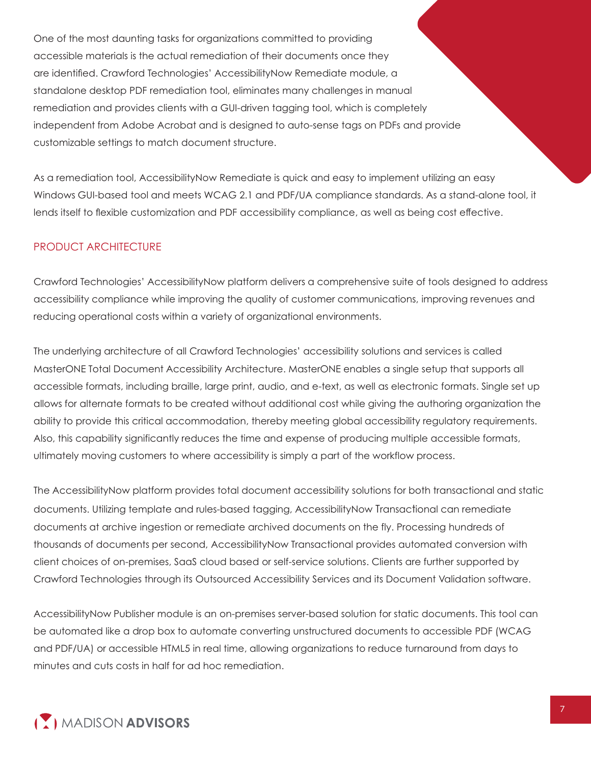**One of the most daunting tasks for organizations committed to providing accessible materials is the actual remediation of their documents once they are identified. Crawford Technologies' AccessibilityNow Remediate module, a standalone desktop PDF remediation tool, eliminates many challenges in manual remediation and provides clients with a GUI-driven tagging tool, which is completely independent from Adobe Acrobat and is designed to auto-sense tags on PDFs and provide customizable settings to match document structure.**

**As a remediation tool, AccessibilityNow Remediate is quick and easy to implement utilizing an easy Windows GUI-based tool and meets WCAG 2.1 and PDF/UA compliance standards. As a stand-alone tool, it lends itself to flexible customization and PDF accessibility compliance, as well as being cost effective.** 

# **PRODUCT ARCHITECTURE**

**Crawford Technologies' AccessibilityNow platform delivers a comprehensive suite of tools designed to address accessibility compliance while improving the quality of customer communications, improving revenues and reducing operational costs within a variety of organizational environments.**

**The underlying architecture of all Crawford Technologies' accessibility solutions and services is called MasterONE Total Document Accessibility Architecture. MasterONE enables a single setup that supports all accessible formats, including braille, large print, audio, and e-text, as well as electronic formats. Single set up allows for alternate formats to be created without additional cost while giving the** authoring organization **the ability to provide this critical accommodation, thereby meeting** global accessibility regulatory **requirements. Also, this capability significantly reduces the time and expense of producing multiple accessible formats, ultimately moving customers to where accessibility is simply a part of the workflow process.**

**The AccessibilityNow platform provides total document accessibility solutions for both transactional and static documents. Utilizing template and rules-based tagging, AccessibilityNow** Transactional **can remediate documents at archive ingestion or remediate archived documents on the fly. Processing hundreds of thousands of documents per second, AccessibilityNow** Transactional **provides automated conversion with client choices of on-premises, SaaS cloud based or self-service solutions. Clients are further supported by Crawford Technologies through its Outsourced Accessibility Services and its Document Validation software.**

**AccessibilityNow Publisher module is an on-premises server-based solution for static documents. This tool can be automated like a drop box to automate converting unstructured documents to accessible PDF (WCAG and PDF/UA) or accessible HTML5 in real time, allowing organizations to reduce turnaround from days to minutes and cuts costs in half for ad hoc remediation.**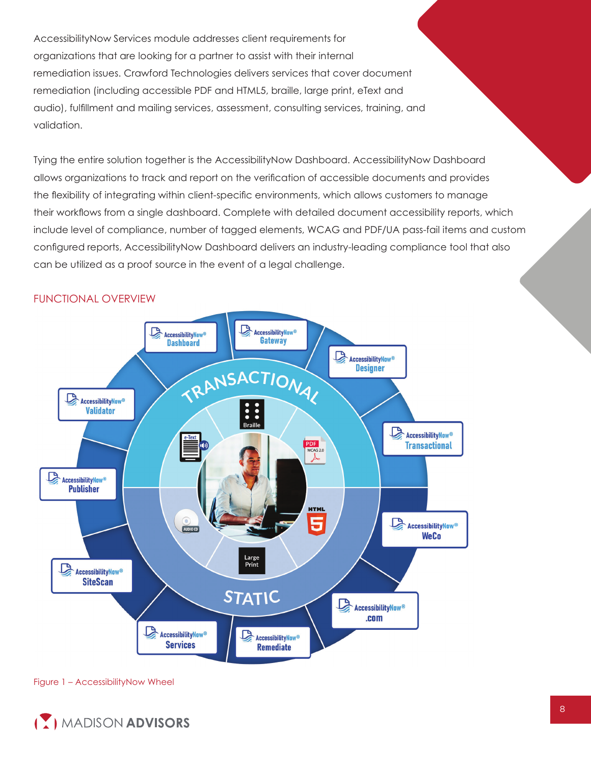**AccessibilityNow Services module addresses client requirements for organizations that are looking for a partner to assist with their internal remediation issues. Crawford Technologies delivers services that cover document remediation (including accessible PDF and HTML5, braille, large print, eText and audio), fulfillment and mailing services, assessment, consulting services, training, and validation.**

**Tying the entire solution together is the AccessibilityNow Dashboard. AccessibilityNow Dashboard allows organizations to track and report on the verification of accessible documents and provides the flexibility of integrating within client-specific environments, which allows customers to manage their workflows from a single dashboard. Complete with detailed document accessibility reports, which include level of compliance, number of tagged elements, WCAG and PDF/UA pass-fail items and custom configured reports, AccessibilityNow Dashboard delivers an industry-leading compliance tool that also can be utilized as a proof source in the event of a legal challenge.**



#### **FUNCTIONAL OVERVIEW**

**Figure 1 – AccessibilityNow Wheel**

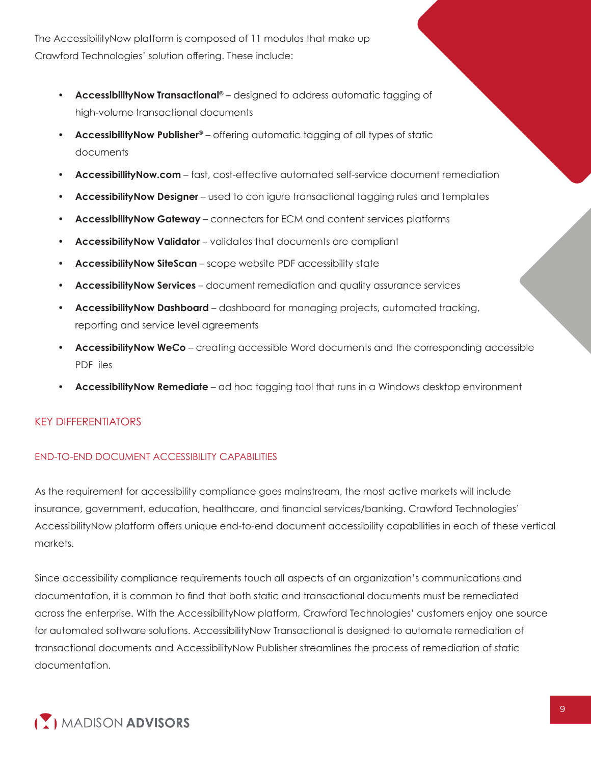**The AccessibilityNow platform is composed of 11 modules that make up Crawford Technologies' solution offering. These include:**

- **• AccessibilityNow Transactional® designed to address automatic tagging of high-volume transactional documents**
- **• AccessibilityNow Publisher® offering automatic tagging of all types of static documents**
- **• AccessibillityNow.com fast, cost-effective automated self-service document remediation**
- **• AccessibilityNow Designer** used to con igure transactional tagging rules and templates
- **• AccessibilityNow Gateway connectors for ECM and content services platforms**
- **• AccessibilityNow Validator validates that documents are compliant**
- **• AccessibilityNow SiteScan scope website PDF accessibility state**
- **• AccessibilityNow Services document remediation and quality assurance services**
- **• AccessibilityNow Dashboard dashboard for managing projects**, **automated tracking, reporting and service level agreements**
- **• AccessibilityNow WeCo creating accessible Word documents and the corresponding accessible** PDF iles
- **• AccessibilityNow Remediate ad hoc tagging tool that runs in a Windows desktop environment**

# **KEY DIFFERENTIATORS**

# **END-TO-END DOCUMENT ACCESSIBILITY CAPABILITIES**

**As the requirement for accessibility compliance goes mainstream, the most active markets will include insurance, government, education, healthcare, and financial services/banking. Crawford Technologies' AccessibilityNow platform offers unique end-to-end document accessibility capabilities in each of these vertical markets.** 

**Since accessibility compliance requirements touch all aspects of an organization's communications and documentation, it is common to find that both static and transactional documents must be remediated across the enterprise. With the AccessibilityNow platform, Crawford Technologies' customers enjoy one source for automated software solutions. AccessibilityNow Transactional is designed to automate remediation of transactional documents and AccessibilityNow Publisher streamlines the process of remediation of static documentation.**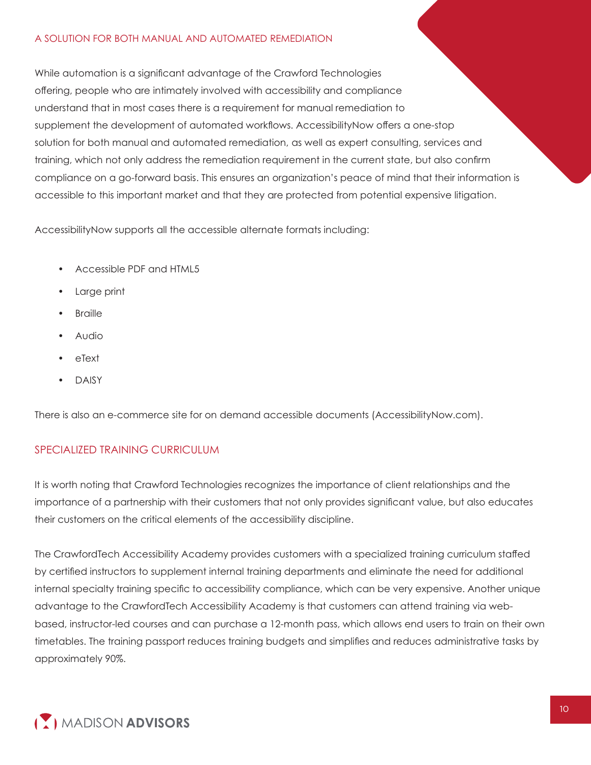#### **A SOLUTION FOR BOTH MANUAL AND AUTOMATED REMEDIATION**

**While automation is a significant advantage of the Crawford Technologies offering, people who are intimately involved with accessibility and compliance understand that in most cases there is a requirement for manual remediation to supplement the development of automated workflows. AccessibilityNow offers a one-stop solution for both manual and automated remediation, as well as expert consulting, services and training, which not only address the remediation requirement in the current state, but also confirm compliance on a go-forward basis. This ensures an organization's peace of mind that their information is accessible to this important market and that they are protected from potential expensive litigation.**

**AccessibilityNow supports all the accessible alternate formats including:**

- **• Accessible PDF and HTML5**
- **• Large print**
- **• Braille**
- **• Audio**
- **• eText**
- **• DAISY**

**There is also an e-commerce site for on demand accessible documents (<AccessibilityNow.com>).**

#### **SPECIALIZED TRAINING CURRICULUM**

**It is worth noting that Crawford Technologies recognizes the importance of client relationships and the importance of a partnership with their customers that not only provides significant value, but also educates their customers on the critical elements of the accessibility discipline.**

**The CrawfordTech Accessibility Academy provides customers with a specialized training curriculum staffed by certified instructors to supplement internal training departments and eliminate the need for additional internal specialty training specific to accessibility compliance, which can be very expensive. Another unique advantage to the CrawfordTech Accessibility Academy is that customers can attend training via webbased, instructor-led courses and can purchase a 12-month pass, which allows end users to train on their own timetables. The training passport reduces training budgets and simplifies and reduces administrative tasks by approximately 90%.**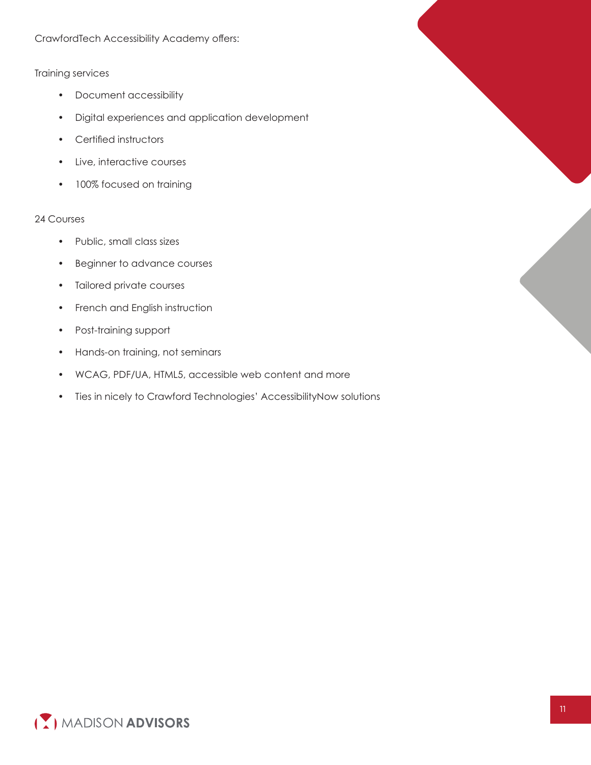**CrawfordTech Accessibility Academy offers:**

#### **Training services**

- **• Document accessibility**
- **• Digital experiences and application development**
- **• Certified instructors**
- **• Live, interactive courses**
- **• 100% focused on training**

#### **24 Courses**

- **• Public, small class sizes**
- **• Beginner to advance courses**
- **• Tailored private courses**
- **• French and English instruction**
- **• Post-training support**
- **• Hands-on training, not seminars**
- **• WCAG, PDF/UA, HTML5, accessible web content and more**
- **• Ties in nicely to Crawford Technologies' AccessibilityNow solutions**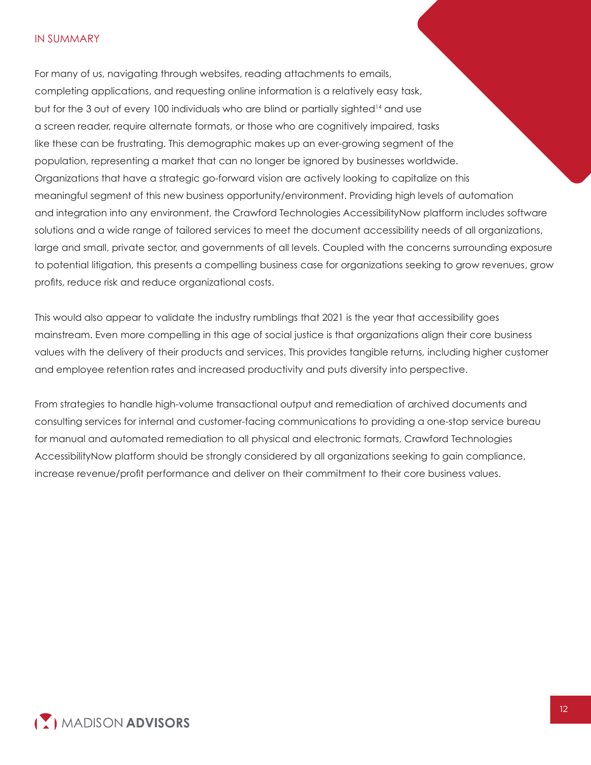#### **IN SUMMARY**

**For many of us, navigating through websites, reading attachments to emails, completing applications, and requesting online information is a relatively easy task, but for the 3 out of every 100 individuals who are blind or partially sighted<sup>14</sup> and use a screen reader, require alternate formats, or those who are cognitively impaired, tasks like these can be frustrating. This demographic makes up an ever-growing segment of the population, representing a market that can no longer be ignored by businesses worldwide. Organizations that have a strategic go-forward vision are actively looking to capitalize on this meaningful segment of this new business opportunity/environment. Providing high levels of automation and integration into any environment, the Crawford Technologies AccessibilityNow platform includes software solutions and a wide range of tailored services to meet the document accessibility needs of all organizations, large and small, private sector, and governments of all levels. Coupled with the concerns surrounding exposure to potential litigation, this presents a compelling business case for organizations seeking to grow revenues, grow profits, reduce risk and reduce organizational costs.** 

**This would also appear to validate the industry rumblings that 2021 is the year that accessibility goes mainstream. Even more compelling in this age of social justice is that organizations align their core business values with the delivery of their products and services. This provides tangible returns, including higher customer and employee retention rates and increased productivity and puts diversity into perspective.** 

**From strategies to handle high-volume transactional output and remediation of archived documents and consulting services for internal and customer-facing communications to providing a one-stop service bureau for manual and automated remediation to all physical and electronic formats, Crawford Technologies AccessibilityNow platform should be strongly considered by all organizations seeking to gain compliance, increase revenue/profit performance and deliver on their commitment to their core business values.**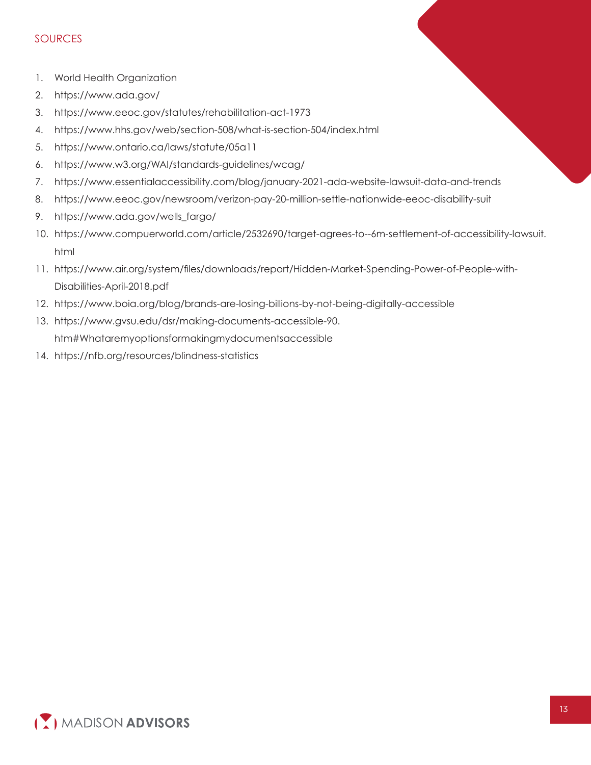#### **SOURCES**

- **1. World Health Organization**
- **2. <https://www.ada.gov/>**
- **3. <https://www.eeoc.gov/statutes/rehabilitation-act-1973>**
- **4. <https://www.hhs.gov/web/section-508/what-is-section-504/index.html>**
- **5. <https://www.ontario.ca/laws/statute/05a11>**
- **6. <https://www.w3.org/WAI/standards-guidelines/wcag/>**
- **7. <https://www.essentialaccessibility.com/blog/january-2021-ada-website-lawsuit-data-and-trends>**
- **8. <https://www.eeoc.gov/newsroom/verizon-pay-20-million-settle-nationwide-eeoc-disability-suit>**
- **9. [https://www.ada.gov/wells\\_fargo/](https://www.ada.gov/wells_fargo/)**
- **html 10. <https://www.compuerworld.com/article/2532690/target-agrees-to--6m-settlement-of-accessibility-lawsuit>.**
- **11. [https://www.air.org/system/files/downloads/report/Hidden-Market-Spending-Power-of-People-with-](https://www.air.org/system/ﬁles/downloads/report/Hidden-Market-Spending-Power-of-People-with-Disabilities-April-2018.pdf)Disabilities-April-2018.pdf**
- **12. <https://www.boia.org/blog/brands-are-losing-billions-by-not-being-digitally-accessible>**
- **htm#Whataremyoptionsformakingmydocumentsaccessible 13. [https://www.gvsu.edu/dsr/making-documents-accessible-90.](https://www.gvsu.edu/dsr/making-documents-accessible-90)**
- **14. <https://nfb.org/resources/blindness-statistics>**